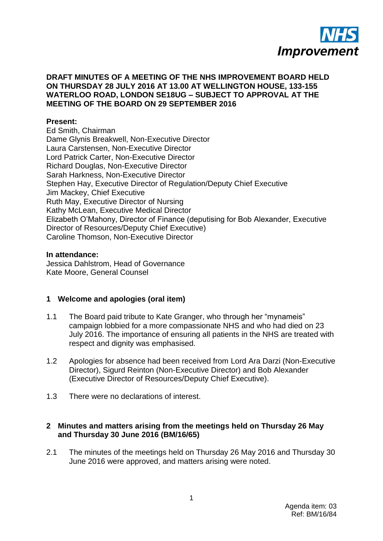

### **DRAFT MINUTES OF A MEETING OF THE NHS IMPROVEMENT BOARD HELD ON THURSDAY 28 JULY 2016 AT 13.00 AT WELLINGTON HOUSE, 133-155 WATERLOO ROAD, LONDON SE18UG – SUBJECT TO APPROVAL AT THE MEETING OF THE BOARD ON 29 SEPTEMBER 2016**

#### **Present:**

Ed Smith, Chairman Dame Glynis Breakwell, Non-Executive Director Laura Carstensen, Non-Executive Director Lord Patrick Carter, Non-Executive Director Richard Douglas, Non-Executive Director Sarah Harkness, Non-Executive Director Stephen Hay, Executive Director of Regulation/Deputy Chief Executive Jim Mackey, Chief Executive Ruth May, Executive Director of Nursing Kathy McLean, Executive Medical Director Elizabeth O"Mahony, Director of Finance (deputising for Bob Alexander, Executive Director of Resources/Deputy Chief Executive) Caroline Thomson, Non-Executive Director

#### **In attendance:**

Jessica Dahlstrom, Head of Governance Kate Moore, General Counsel

### **1 Welcome and apologies (oral item)**

- 1.1 The Board paid tribute to Kate Granger, who through her "mynameis" campaign lobbied for a more compassionate NHS and who had died on 23 July 2016. The importance of ensuring all patients in the NHS are treated with respect and dignity was emphasised.
- 1.2 Apologies for absence had been received from Lord Ara Darzi (Non-Executive Director), Sigurd Reinton (Non-Executive Director) and Bob Alexander (Executive Director of Resources/Deputy Chief Executive).
- 1.3 There were no declarations of interest.

### **2 Minutes and matters arising from the meetings held on Thursday 26 May and Thursday 30 June 2016 (BM/16/65)**

2.1 The minutes of the meetings held on Thursday 26 May 2016 and Thursday 30 June 2016 were approved, and matters arising were noted.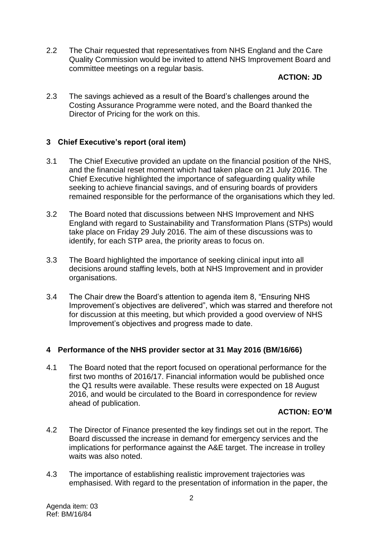2.2 The Chair requested that representatives from NHS England and the Care Quality Commission would be invited to attend NHS Improvement Board and committee meetings on a regular basis.

## **ACTION: JD**

2.3 The savings achieved as a result of the Board"s challenges around the Costing Assurance Programme were noted, and the Board thanked the Director of Pricing for the work on this.

## **3 Chief Executive's report (oral item)**

- 3.1 The Chief Executive provided an update on the financial position of the NHS, and the financial reset moment which had taken place on 21 July 2016. The Chief Executive highlighted the importance of safeguarding quality while seeking to achieve financial savings, and of ensuring boards of providers remained responsible for the performance of the organisations which they led.
- 3.2 The Board noted that discussions between NHS Improvement and NHS England with regard to Sustainability and Transformation Plans (STPs) would take place on Friday 29 July 2016. The aim of these discussions was to identify, for each STP area, the priority areas to focus on.
- 3.3 The Board highlighted the importance of seeking clinical input into all decisions around staffing levels, both at NHS Improvement and in provider organisations.
- 3.4 The Chair drew the Board"s attention to agenda item 8, "Ensuring NHS Improvement"s objectives are delivered", which was starred and therefore not for discussion at this meeting, but which provided a good overview of NHS Improvement"s objectives and progress made to date.

### **4 Performance of the NHS provider sector at 31 May 2016 (BM/16/66)**

4.1 The Board noted that the report focused on operational performance for the first two months of 2016/17. Financial information would be published once the Q1 results were available. These results were expected on 18 August 2016, and would be circulated to the Board in correspondence for review ahead of publication.

### **ACTION: EO'M**

- 4.2 The Director of Finance presented the key findings set out in the report. The Board discussed the increase in demand for emergency services and the implications for performance against the A&E target. The increase in trolley waits was also noted.
- 4.3 The importance of establishing realistic improvement trajectories was emphasised. With regard to the presentation of information in the paper, the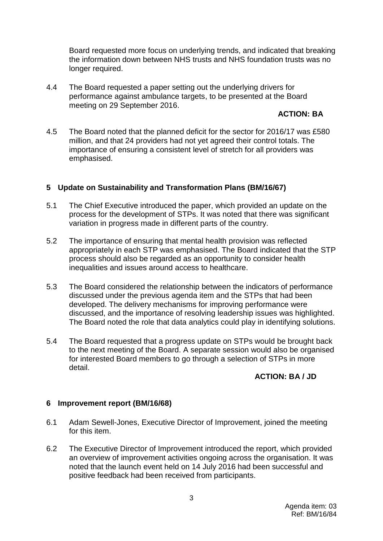Board requested more focus on underlying trends, and indicated that breaking the information down between NHS trusts and NHS foundation trusts was no longer required.

4.4 The Board requested a paper setting out the underlying drivers for performance against ambulance targets, to be presented at the Board meeting on 29 September 2016.

## **ACTION: BA**

4.5 The Board noted that the planned deficit for the sector for 2016/17 was £580 million, and that 24 providers had not yet agreed their control totals. The importance of ensuring a consistent level of stretch for all providers was emphasised.

# **5 Update on Sustainability and Transformation Plans (BM/16/67)**

- 5.1 The Chief Executive introduced the paper, which provided an update on the process for the development of STPs. It was noted that there was significant variation in progress made in different parts of the country.
- 5.2 The importance of ensuring that mental health provision was reflected appropriately in each STP was emphasised. The Board indicated that the STP process should also be regarded as an opportunity to consider health inequalities and issues around access to healthcare.
- 5.3 The Board considered the relationship between the indicators of performance discussed under the previous agenda item and the STPs that had been developed. The delivery mechanisms for improving performance were discussed, and the importance of resolving leadership issues was highlighted. The Board noted the role that data analytics could play in identifying solutions.
- 5.4 The Board requested that a progress update on STPs would be brought back to the next meeting of the Board. A separate session would also be organised for interested Board members to go through a selection of STPs in more detail.

### **ACTION: BA / JD**

### **6 Improvement report (BM/16/68)**

- 6.1 Adam Sewell-Jones, Executive Director of Improvement, joined the meeting for this item.
- 6.2 The Executive Director of Improvement introduced the report, which provided an overview of improvement activities ongoing across the organisation. It was noted that the launch event held on 14 July 2016 had been successful and positive feedback had been received from participants.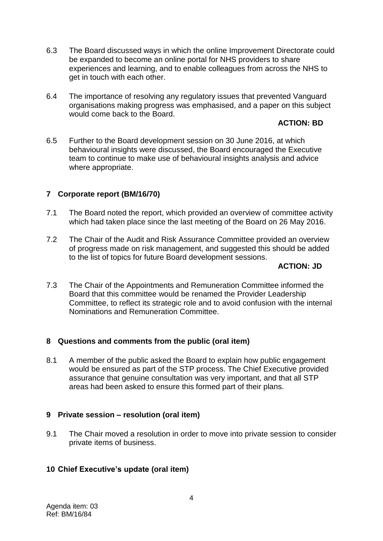- 6.3 The Board discussed ways in which the online Improvement Directorate could be expanded to become an online portal for NHS providers to share experiences and learning, and to enable colleagues from across the NHS to get in touch with each other.
- 6.4 The importance of resolving any regulatory issues that prevented Vanguard organisations making progress was emphasised, and a paper on this subject would come back to the Board.

# **ACTION: BD**

6.5 Further to the Board development session on 30 June 2016, at which behavioural insights were discussed, the Board encouraged the Executive team to continue to make use of behavioural insights analysis and advice where appropriate.

# **7 Corporate report (BM/16/70)**

- 7.1 The Board noted the report, which provided an overview of committee activity which had taken place since the last meeting of the Board on 26 May 2016.
- 7.2 The Chair of the Audit and Risk Assurance Committee provided an overview of progress made on risk management, and suggested this should be added to the list of topics for future Board development sessions.

## **ACTION: JD**

7.3 The Chair of the Appointments and Remuneration Committee informed the Board that this committee would be renamed the Provider Leadership Committee, to reflect its strategic role and to avoid confusion with the internal Nominations and Remuneration Committee.

### **8 Questions and comments from the public (oral item)**

8.1 A member of the public asked the Board to explain how public engagement would be ensured as part of the STP process. The Chief Executive provided assurance that genuine consultation was very important, and that all STP areas had been asked to ensure this formed part of their plans.

### **9 Private session – resolution (oral item)**

9.1 The Chair moved a resolution in order to move into private session to consider private items of business.

# **10 Chief Executive's update (oral item)**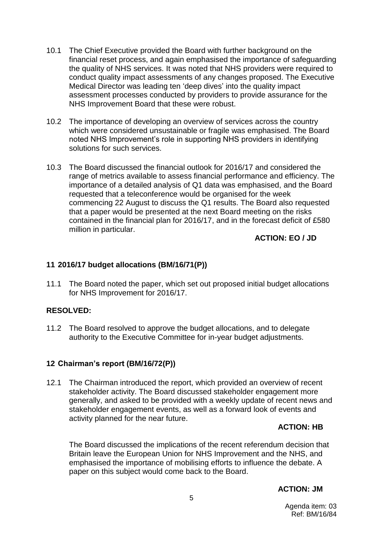- 10.1 The Chief Executive provided the Board with further background on the financial reset process, and again emphasised the importance of safeguarding the quality of NHS services. It was noted that NHS providers were required to conduct quality impact assessments of any changes proposed. The Executive Medical Director was leading ten "deep dives" into the quality impact assessment processes conducted by providers to provide assurance for the NHS Improvement Board that these were robust.
- 10.2 The importance of developing an overview of services across the country which were considered unsustainable or fragile was emphasised. The Board noted NHS Improvement"s role in supporting NHS providers in identifying solutions for such services.
- 10.3 The Board discussed the financial outlook for 2016/17 and considered the range of metrics available to assess financial performance and efficiency. The importance of a detailed analysis of Q1 data was emphasised, and the Board requested that a teleconference would be organised for the week commencing 22 August to discuss the Q1 results. The Board also requested that a paper would be presented at the next Board meeting on the risks contained in the financial plan for 2016/17, and in the forecast deficit of £580 million in particular.

## **ACTION: EO / JD**

## **11 2016/17 budget allocations (BM/16/71(P))**

11.1 The Board noted the paper, which set out proposed initial budget allocations for NHS Improvement for 2016/17.

# **RESOLVED:**

11.2 The Board resolved to approve the budget allocations, and to delegate authority to the Executive Committee for in-year budget adjustments.

### **12 Chairman's report (BM/16/72(P))**

12.1 The Chairman introduced the report, which provided an overview of recent stakeholder activity. The Board discussed stakeholder engagement more generally, and asked to be provided with a weekly update of recent news and stakeholder engagement events, as well as a forward look of events and activity planned for the near future.

### **ACTION: HB**

The Board discussed the implications of the recent referendum decision that Britain leave the European Union for NHS Improvement and the NHS, and emphasised the importance of mobilising efforts to influence the debate. A paper on this subject would come back to the Board.

# **ACTION: JM**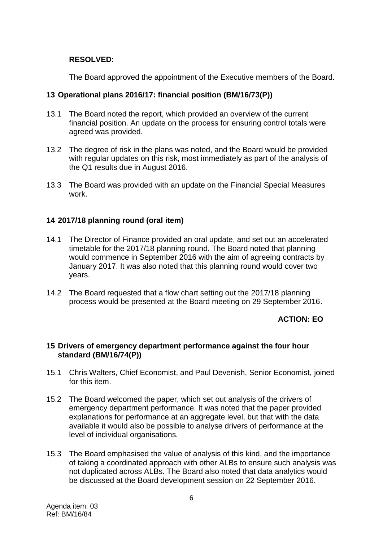## **RESOLVED:**

The Board approved the appointment of the Executive members of the Board.

## **13 Operational plans 2016/17: financial position (BM/16/73(P))**

- 13.1 The Board noted the report, which provided an overview of the current financial position. An update on the process for ensuring control totals were agreed was provided.
- 13.2 The degree of risk in the plans was noted, and the Board would be provided with regular updates on this risk, most immediately as part of the analysis of the Q1 results due in August 2016.
- 13.3 The Board was provided with an update on the Financial Special Measures work.

## **14 2017/18 planning round (oral item)**

- 14.1 The Director of Finance provided an oral update, and set out an accelerated timetable for the 2017/18 planning round. The Board noted that planning would commence in September 2016 with the aim of agreeing contracts by January 2017. It was also noted that this planning round would cover two years.
- 14.2 The Board requested that a flow chart setting out the 2017/18 planning process would be presented at the Board meeting on 29 September 2016.

# **ACTION: EO**

### **15 Drivers of emergency department performance against the four hour standard (BM/16/74(P))**

- 15.1 Chris Walters, Chief Economist, and Paul Devenish, Senior Economist, joined for this item.
- 15.2 The Board welcomed the paper, which set out analysis of the drivers of emergency department performance. It was noted that the paper provided explanations for performance at an aggregate level, but that with the data available it would also be possible to analyse drivers of performance at the level of individual organisations.
- 15.3 The Board emphasised the value of analysis of this kind, and the importance of taking a coordinated approach with other ALBs to ensure such analysis was not duplicated across ALBs. The Board also noted that data analytics would be discussed at the Board development session on 22 September 2016.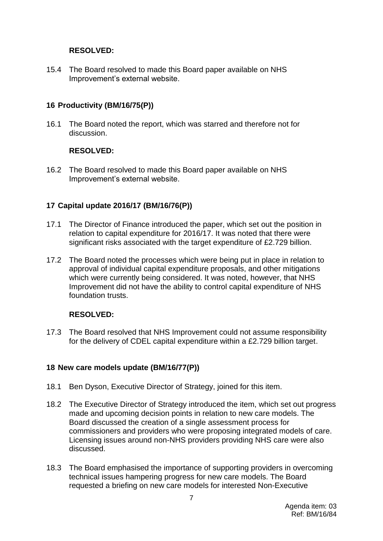## **RESOLVED:**

15.4 The Board resolved to made this Board paper available on NHS Improvement"s external website.

# **16 Productivity (BM/16/75(P))**

16.1 The Board noted the report, which was starred and therefore not for discussion.

## **RESOLVED:**

16.2 The Board resolved to made this Board paper available on NHS Improvement"s external website.

# **17 Capital update 2016/17 (BM/16/76(P))**

- 17.1 The Director of Finance introduced the paper, which set out the position in relation to capital expenditure for 2016/17. It was noted that there were significant risks associated with the target expenditure of £2.729 billion.
- 17.2 The Board noted the processes which were being put in place in relation to approval of individual capital expenditure proposals, and other mitigations which were currently being considered. It was noted, however, that NHS Improvement did not have the ability to control capital expenditure of NHS foundation trusts.

# **RESOLVED:**

17.3 The Board resolved that NHS Improvement could not assume responsibility for the delivery of CDEL capital expenditure within a £2.729 billion target.

# **18 New care models update (BM/16/77(P))**

- 18.1 Ben Dyson, Executive Director of Strategy, joined for this item.
- 18.2 The Executive Director of Strategy introduced the item, which set out progress made and upcoming decision points in relation to new care models. The Board discussed the creation of a single assessment process for commissioners and providers who were proposing integrated models of care. Licensing issues around non-NHS providers providing NHS care were also discussed.
- 18.3 The Board emphasised the importance of supporting providers in overcoming technical issues hampering progress for new care models. The Board requested a briefing on new care models for interested Non-Executive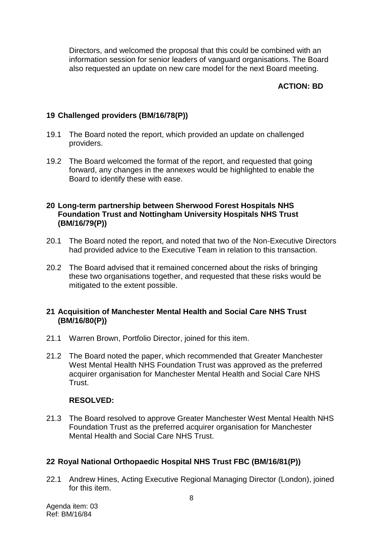Directors, and welcomed the proposal that this could be combined with an information session for senior leaders of vanguard organisations. The Board also requested an update on new care model for the next Board meeting.

# **ACTION: BD**

# **19 Challenged providers (BM/16/78(P))**

- 19.1 The Board noted the report, which provided an update on challenged providers.
- 19.2 The Board welcomed the format of the report, and requested that going forward, any changes in the annexes would be highlighted to enable the Board to identify these with ease.

## **20 Long-term partnership between Sherwood Forest Hospitals NHS Foundation Trust and Nottingham University Hospitals NHS Trust (BM/16/79(P))**

- 20.1 The Board noted the report, and noted that two of the Non-Executive Directors had provided advice to the Executive Team in relation to this transaction.
- 20.2 The Board advised that it remained concerned about the risks of bringing these two organisations together, and requested that these risks would be mitigated to the extent possible.

## **21 Acquisition of Manchester Mental Health and Social Care NHS Trust (BM/16/80(P))**

- 21.1 Warren Brown, Portfolio Director, joined for this item.
- 21.2 The Board noted the paper, which recommended that Greater Manchester West Mental Health NHS Foundation Trust was approved as the preferred acquirer organisation for Manchester Mental Health and Social Care NHS Trust.

### **RESOLVED:**

21.3 The Board resolved to approve Greater Manchester West Mental Health NHS Foundation Trust as the preferred acquirer organisation for Manchester Mental Health and Social Care NHS Trust.

### **22 Royal National Orthopaedic Hospital NHS Trust FBC (BM/16/81(P))**

22.1 Andrew Hines, Acting Executive Regional Managing Director (London), joined for this item.

Agenda item: 03 Ref: BM/16/84